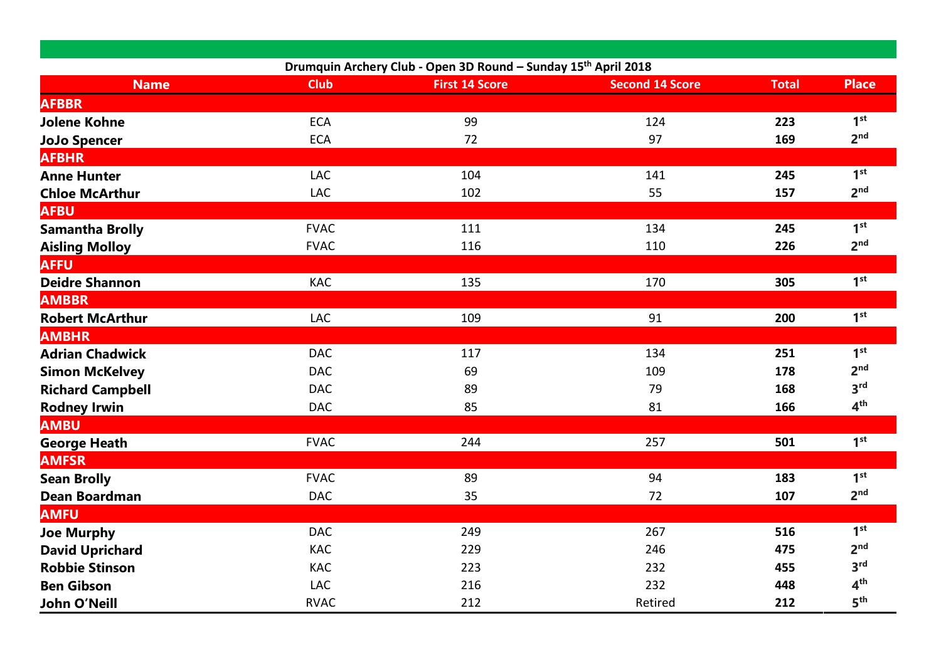|                         | Drumquin Archery Club - Open 3D Round - Sunday 15 <sup>th</sup> April 2018 |                       |                        |              |                 |
|-------------------------|----------------------------------------------------------------------------|-----------------------|------------------------|--------------|-----------------|
| <b>Name</b>             | <b>Club</b>                                                                | <b>First 14 Score</b> | <b>Second 14 Score</b> | <b>Total</b> | <b>Place</b>    |
| <b>AFBBR</b>            |                                                                            |                       |                        |              |                 |
| <b>Jolene Kohne</b>     | <b>ECA</b>                                                                 | 99                    | 124                    | 223          | 1 <sup>st</sup> |
| <b>JoJo Spencer</b>     | <b>ECA</b>                                                                 | 72                    | 97                     | 169          | 2 <sub>nd</sub> |
| <b>AFBHR</b>            |                                                                            |                       |                        |              |                 |
| <b>Anne Hunter</b>      | LAC                                                                        | 104                   | 141                    | 245          | 1 <sup>st</sup> |
| <b>Chloe McArthur</b>   | LAC                                                                        | 102                   | 55                     | 157          | 2 <sup>nd</sup> |
| <b>AFBU</b>             |                                                                            |                       |                        |              |                 |
| <b>Samantha Brolly</b>  | <b>FVAC</b>                                                                | 111                   | 134                    | 245          | 1 <sup>st</sup> |
| <b>Aisling Molloy</b>   | <b>FVAC</b>                                                                | 116                   | 110                    | 226          | 2 <sup>nd</sup> |
| <b>AFFU</b>             |                                                                            |                       |                        |              |                 |
| <b>Deidre Shannon</b>   | KAC                                                                        | 135                   | 170                    | 305          | 1 <sup>st</sup> |
| <b>AMBBR</b>            |                                                                            |                       |                        |              |                 |
| <b>Robert McArthur</b>  | LAC                                                                        | 109                   | 91                     | 200          | 1 <sup>st</sup> |
| <b>AMBHR</b>            |                                                                            |                       |                        |              |                 |
| <b>Adrian Chadwick</b>  | <b>DAC</b>                                                                 | 117                   | 134                    | 251          | 1 <sup>st</sup> |
| <b>Simon McKelvey</b>   | <b>DAC</b>                                                                 | 69                    | 109                    | 178          | 2 <sub>nd</sub> |
| <b>Richard Campbell</b> | <b>DAC</b>                                                                 | 89                    | 79                     | 168          | 3 <sup>rd</sup> |
| <b>Rodney Irwin</b>     | <b>DAC</b>                                                                 | 85                    | 81                     | 166          | 4 <sup>th</sup> |
| <b>AMBU</b>             |                                                                            |                       |                        |              |                 |
| <b>George Heath</b>     | <b>FVAC</b>                                                                | 244                   | 257                    | 501          | 1 <sup>st</sup> |
| <b>AMFSR</b>            |                                                                            |                       |                        |              |                 |
| <b>Sean Brolly</b>      | <b>FVAC</b>                                                                | 89                    | 94                     | 183          | 1 <sup>st</sup> |
| <b>Dean Boardman</b>    | <b>DAC</b>                                                                 | 35                    | 72                     | 107          | 2 <sup>nd</sup> |
| <b>AMFU</b>             |                                                                            |                       |                        |              |                 |
| <b>Joe Murphy</b>       | <b>DAC</b>                                                                 | 249                   | 267                    | 516          | 1 <sup>st</sup> |
| <b>David Uprichard</b>  | KAC                                                                        | 229                   | 246                    | 475          | 2 <sub>nd</sub> |
| <b>Robbie Stinson</b>   | <b>KAC</b>                                                                 | 223                   | 232                    | 455          | 3 <sup>rd</sup> |
| <b>Ben Gibson</b>       | LAC                                                                        | 216                   | 232                    | 448          | 4 <sup>th</sup> |
| <b>John O'Neill</b>     | <b>RVAC</b>                                                                | 212                   | Retired                | 212          | 5 <sup>th</sup> |